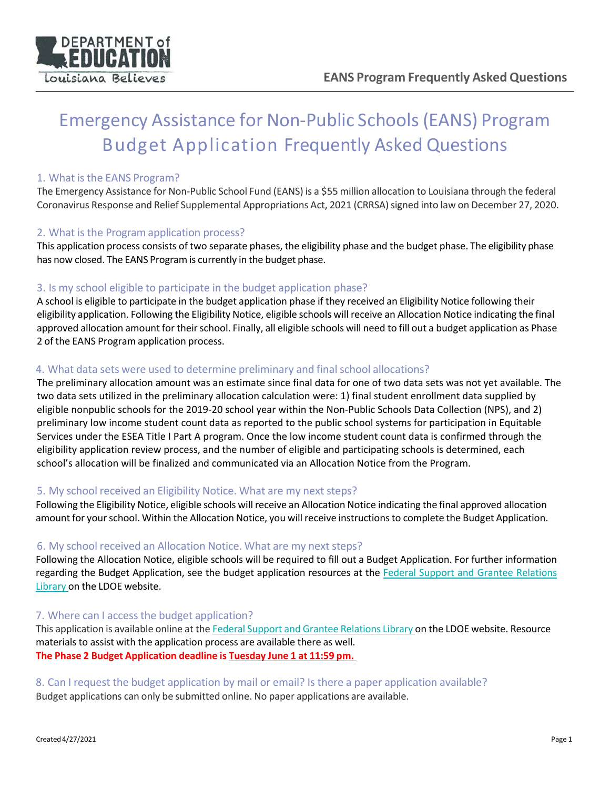

# Emergency Assistance for Non‐Public Schools (EANS) Program Budget Application Frequently Asked Questions

# 1. What is the EANS Program?

The Emergency Assistance for Non-Public School Fund (EANS) is a \$55 million allocation to Louisiana through the federal Coronavirus Response and Relief Supplemental Appropriations Act, 2021 (CRRSA) signed into law on December 27, 2020.

## 2. What is the Program application process?

This application process consists of two separate phases, the eligibility phase and the budget phase. The eligibility phase has now closed. The EANS Program is currently in the budget phase.

# 3. Is my school eligible to participate in the budget application phase?

A school is eligible to participate in the budget application phase if they received an Eligibility Notice following their eligibility application. Following the Eligibility Notice, eligible schools will receive an Allocation Notice indicating the final approved allocation amount for their school. Finally, all eligible schools will need to fill out a budget application as Phase 2 of the EANS Program application process.

# 4. What data sets were used to determine preliminary and final school allocations?

The preliminary allocation amount was an estimate since final data for one of two data sets was not yet available. The two data sets utilized in the preliminary allocation calculation were: 1) final student enrollment data supplied by eligible nonpublic schools for the 2019‐20 school year within the Non‐Public Schools Data Collection (NPS), and 2) preliminary low income student count data as reported to the public school systems for participation in Equitable Services under the ESEA Title I Part A program. Once the low income student count data is confirmed through the eligibility application review process, and the number of eligible and participating schools is determined, each school's allocation will be finalized and communicated via an Allocation Notice from the Program.

# 5. My school received an Eligibility Notice. What are my next steps?

Following the Eligibility Notice, eligible schools will receive an Allocation Notice indicating the final approved allocation amount for your school. Within the Allocation Notice, you will receive instructions to complete the Budget Application.

#### 6. My school received an Allocation Notice. What are my next steps?

Following the Allocation Notice, eligible schools will be required to fill out a Budget Application. For further information regarding the Budget Application, see the budget application resources at the Federal Support and Grantee Relations Library on the LDOE website.

#### 7. Where can I access the budget application?

This application is available online at the Federal Support and Grantee Relations Library on the LDOE website. Resource materials to assist with the application process are available there as well. **The Phase 2 Budget Application deadline is Tuesday June 1 at 11:59 pm.**

8. Can I request the budget application by mail or email? Is there a paper application available? Budget applications can only be submitted online. No paper applications are available.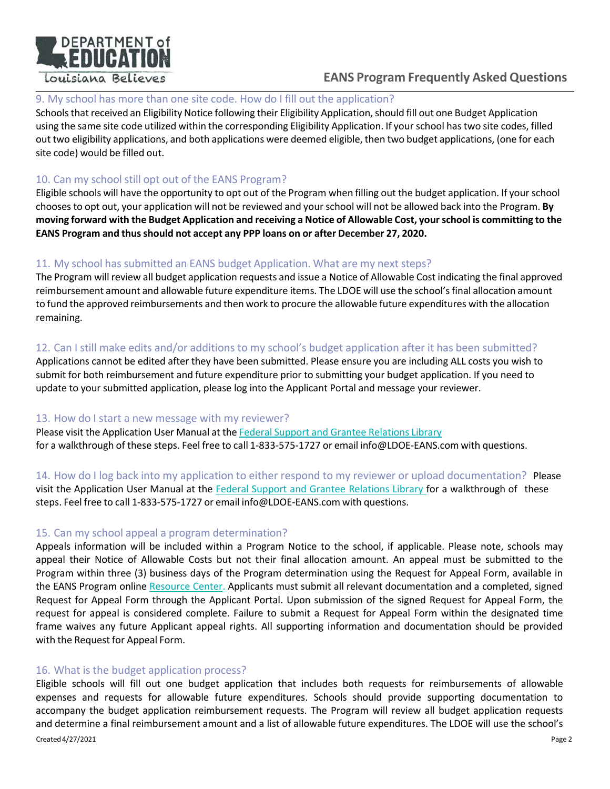

# **EANS Program Frequently Asked Questions**

# 9. My school has more than one site code. How do I fill out the application?

Schools that received an Eligibility Notice following their Eligibility Application, should fill out one Budget Application using the same site code utilized within the corresponding Eligibility Application. If your school has two site codes, filled out two eligibility applications, and both applications were deemed eligible, then two budget applications, (one for each site code) would be filled out.

# 10. Can my school still opt out of the EANS Program?

Eligible schools will have the opportunity to opt out of the Program when filling out the budget application. If your school chooses to opt out, your application will not be reviewed and your school will not be allowed back into the Program. **By moving forward with the Budget Application and receiving a Notice of Allowable Cost, your school is committing to the EANS Program and thus should not accept any PPP loans on or after December 27, 2020.**

# 11. My school has submitted an EANS budget Application. What are my next steps?

The Program will review all budget application requests and issue a Notice of Allowable Cost indicating the final approved reimbursement amount and allowable future expenditure items. The LDOE will use the school's final allocation amount to fund the approved reimbursements and then work to procure the allowable future expenditures with the allocation remaining.

# 12. Can I still make edits and/or additions to my school's budget application after it has been submitted?

Applications cannot be edited after they have been submitted. Please ensure you are including ALL costs you wish to submit for both reimbursement and future expenditure prior to submitting your budget application. If you need to update to your submitted application, please log into the Applicant Portal and message your reviewer.

#### 13. How do I start a new message with my reviewer?

Please visit the Application User Manual at the Federal Support and Grantee Relations Library for a walkthrough of these steps. Feel free to call 1-833-575-1727 or email info@LDOE-EANS.com with questions.

14. How do I log back into my application to either respond to my reviewer or upload documentation? Please visit the Application User Manual at the Federal Support and Grantee Relations Library for a walkthrough of these steps. Feel free to call 1‐833‐575‐1727 or email info@LDOE‐EANS.com with questions.

# 15. Can my school appeal a program determination?

Appeals information will be included within a Program Notice to the school, if applicable. Please note, schools may appeal their Notice of Allowable Costs but not their final allocation amount. An appeal must be submitted to the Program within three (3) business days of the Program determination using the Request for Appeal Form, available in the EANS Program online Resource Center. Applicants must submit all relevant documentation and a completed, signed Request for Appeal Form through the Applicant Portal. Upon submission of the signed Request for Appeal Form, the request for appeal is considered complete. Failure to submit a Request for Appeal Form within the designated time frame waives any future Applicant appeal rights. All supporting information and documentation should be provided with the Request for Appeal Form.

#### 16. What is the budget application process?

Created 4/27/2021 Page 2 Eligible schools will fill out one budget application that includes both requests for reimbursements of allowable expenses and requests for allowable future expenditures. Schools should provide supporting documentation to accompany the budget application reimbursement requests. The Program will review all budget application requests and determine a final reimbursement amount and a list of allowable future expenditures. The LDOE will use the school's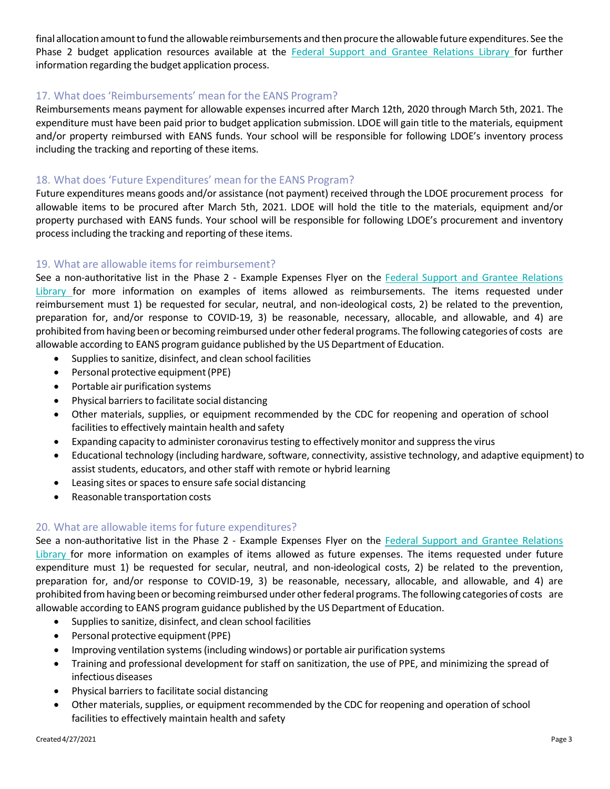final allocation amount to fund the allowable reimbursements and then procure the allowable future expenditures. See the Phase 2 budget application resources available at the Federal Support and Grantee Relations Library for further information regarding the budget application process.

# 17. What does 'Reimbursements' mean for the EANS Program?

Reimbursements means payment for allowable expenses incurred after March 12th, 2020 through March 5th, 2021. The expenditure must have been paid prior to budget application submission. LDOE will gain title to the materials, equipment and/or property reimbursed with EANS funds. Your school will be responsible for following LDOE's inventory process including the tracking and reporting of these items.

## 18. What does 'Future Expenditures' mean for the EANS Program?

Future expenditures means goods and/or assistance (not payment) received through the LDOE procurement process for allowable items to be procured after March 5th, 2021. LDOE will hold the title to the materials, equipment and/or property purchased with EANS funds. Your school will be responsible for following LDOE's procurement and inventory process including the tracking and reporting of these items.

#### 19. What are allowable items for reimbursement?

See a non-authoritative list in the Phase 2 - Example Expenses Flyer on the Federal Support and Grantee Relations Library for more information on examples of items allowed as reimbursements. The items requested under reimbursement must 1) be requested for secular, neutral, and non‐ideological costs, 2) be related to the prevention, preparation for, and/or response to COVID-19, 3) be reasonable, necessary, allocable, and allowable, and 4) are prohibited from having been or becoming reimbursed under other federal programs. The following categories of costs are allowable according to EANS program guidance published by the US Department of Education.

- Supplies to sanitize, disinfect, and clean school facilities
- Personal protective equipment (PPE)
- Portable air purification systems
- Physical barriers to facilitate social distancing
- Other materials, supplies, or equipment recommended by the CDC for reopening and operation of school facilities to effectively maintain health and safety
- Expanding capacity to administer coronavirus testing to effectively monitor and suppress the virus
- Educational technology (including hardware, software, connectivity, assistive technology, and adaptive equipment) to assist students, educators, and other staff with remote or hybrid learning
- Leasing sites or spaces to ensure safe social distancing
- Reasonable transportation costs

#### 20. What are allowable items for future expenditures?

See a non-authoritative list in the Phase 2 - Example Expenses Flyer on the Federal Support and Grantee Relations Library for more information on examples of items allowed as future expenses. The items requested under future expenditure must 1) be requested for secular, neutral, and non-ideological costs, 2) be related to the prevention, preparation for, and/or response to COVID-19, 3) be reasonable, necessary, allocable, and allowable, and 4) are prohibited from having been or becoming reimbursed under other federal programs. The following categories of costs are allowable according to EANS program guidance published by the US Department of Education.

- Supplies to sanitize, disinfect, and clean school facilities
- Personal protective equipment (PPE)
- Improving ventilation systems (including windows) or portable air purification systems
- Training and professional development for staff on sanitization, the use of PPE, and minimizing the spread of infectious diseases
- Physical barriers to facilitate social distancing
- Other materials, supplies, or equipment recommended by the CDC for reopening and operation of school facilities to effectively maintain health and safety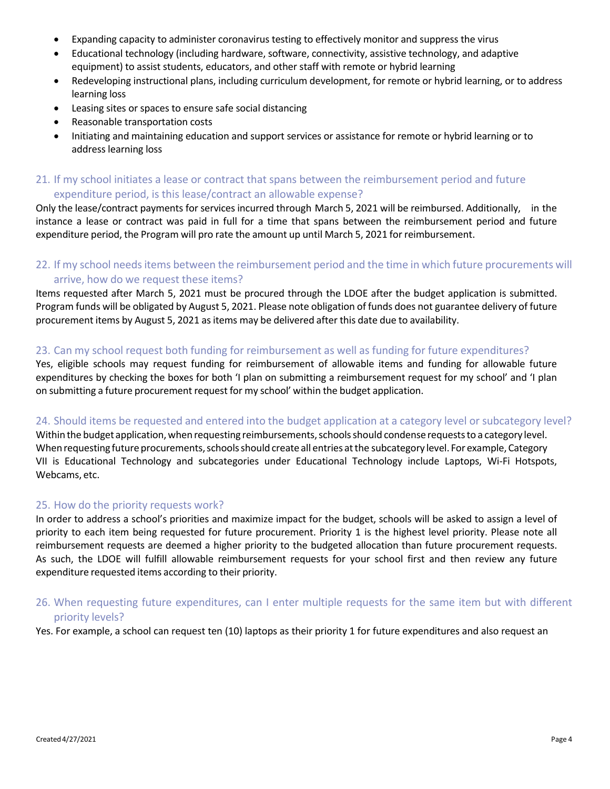- Expanding capacity to administer coronavirus testing to effectively monitor and suppress the virus
- Educational technology (including hardware, software, connectivity, assistive technology, and adaptive equipment) to assist students, educators, and other staff with remote or hybrid learning
- Redeveloping instructional plans, including curriculum development, for remote or hybrid learning, or to address learning loss
- Leasing sites or spaces to ensure safe social distancing
- Reasonable transportation costs
- Initiating and maintaining education and support services or assistance for remote or hybrid learning or to address learning loss

# 21. If my school initiates a lease or contract that spans between the reimbursement period and future expenditure period, is this lease/contract an allowable expense?

Only the lease/contract payments for services incurred through March 5, 2021 will be reimbursed. Additionally, in the instance a lease or contract was paid in full for a time that spans between the reimbursement period and future expenditure period, the Program will pro rate the amount up until March 5, 2021 for reimbursement.

# 22. If my school needs items between the reimbursement period and the time in which future procurements will arrive, how do we request these items?

Items requested after March 5, 2021 must be procured through the LDOE after the budget application is submitted. Program funds will be obligated by August 5, 2021. Please note obligation of funds does not guarantee delivery of future procurement items by August 5, 2021 as items may be delivered after this date due to availability.

#### 23. Can my school request both funding for reimbursement as well as funding for future expenditures?

Yes, eligible schools may request funding for reimbursement of allowable items and funding for allowable future expenditures by checking the boxes for both 'I plan on submitting a reimbursement request for my school' and 'I plan on submitting a future procurement request for my school' within the budget application.

#### 24. Should items be requested and entered into the budget application at a category level or subcategory level?

Within the budget application, when requesting reimbursements, schools should condense requests to a category level. When requesting future procurements, schools should create all entries at the subcategory level. For example, Category VII is Educational Technology and subcategories under Educational Technology include Laptops, Wi‐Fi Hotspots, Webcams, etc.

#### 25. How do the priority requests work?

In order to address a school's priorities and maximize impact for the budget, schools will be asked to assign a level of priority to each item being requested for future procurement. Priority 1 is the highest level priority. Please note all reimbursement requests are deemed a higher priority to the budgeted allocation than future procurement requests. As such, the LDOE will fulfill allowable reimbursement requests for your school first and then review any future expenditure requested items according to their priority.

# 26. When requesting future expenditures, can I enter multiple requests for the same item but with different priority levels?

Yes. For example, a school can request ten (10) laptops as their priority 1 for future expenditures and also request an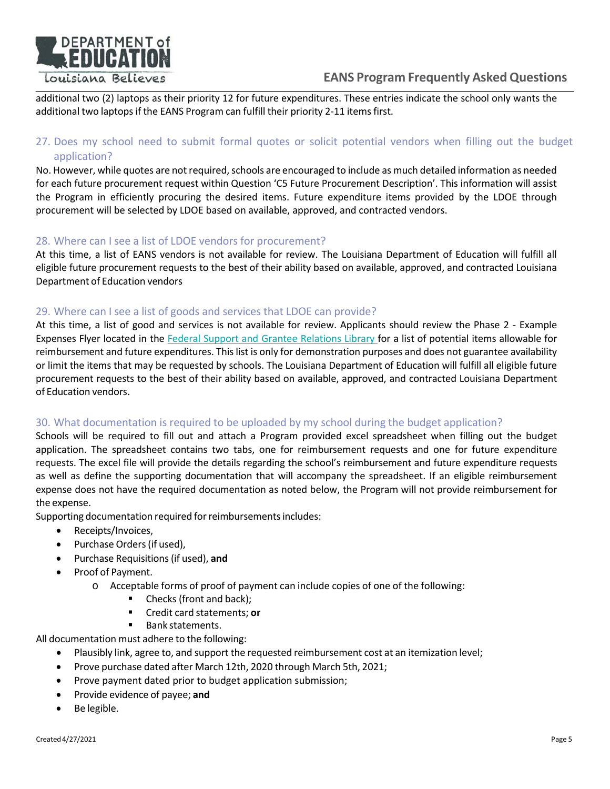

# **EANS Program Frequently Asked Questions**

additional two (2) laptops as their priority 12 for future expenditures. These entries indicate the school only wants the additional two laptops if the EANS Program can fulfill their priority 2‐11 items first.

# 27. Does my school need to submit formal quotes or solicit potential vendors when filling out the budget application?

No. However, while quotes are not required, schools are encouraged to include as much detailed information as needed for each future procurement request within Question 'C5 Future Procurement Description'. This information will assist the Program in efficiently procuring the desired items. Future expenditure items provided by the LDOE through procurement will be selected by LDOE based on available, approved, and contracted vendors.

## 28. Where can I see a list of LDOE vendors for procurement?

At this time, a list of EANS vendors is not available for review. The Louisiana Department of Education will fulfill all eligible future procurement requests to the best of their ability based on available, approved, and contracted Louisiana Department of Education vendors

## 29. Where can I see a list of goods and services that LDOE can provide?

At this time, a list of good and services is not available for review. Applicants should review the Phase 2 - Example Expenses Flyer located in the Federal Support and Grantee Relations Library for a list of potential items allowable for reimbursement and future expenditures. This list is only for demonstration purposes and does not guarantee availability or limit the items that may be requested by schools. The Louisiana Department of Education will fulfill all eligible future procurement requests to the best of their ability based on available, approved, and contracted Louisiana Department of Education vendors.

# 30. What documentation is required to be uploaded by my school during the budget application?

Schools will be required to fill out and attach a Program provided excel spreadsheet when filling out the budget application. The spreadsheet contains two tabs, one for reimbursement requests and one for future expenditure requests. The excel file will provide the details regarding the school's reimbursement and future expenditure requests as well as define the supporting documentation that will accompany the spreadsheet. If an eligible reimbursement expense does not have the required documentation as noted below, the Program will not provide reimbursement for the expense.

Supporting documentation required for reimbursements includes:

- Receipts/Invoices,
- Purchase Orders (if used),
- Purchase Requisitions (if used), **and**
- Proof of Payment.
	- o Acceptable forms of proof of payment can include copies of one of the following:
		- Checks (front and back);
		- Credit card statements; **or**
		- **Bank statements.**

All documentation must adhere to the following:

- Plausibly link, agree to, and support the requested reimbursement cost at an itemization level;
	- Prove purchase dated after March 12th, 2020 through March 5th, 2021;
	- Prove payment dated prior to budget application submission;
	- Provide evidence of payee; **and**
	- Be legible.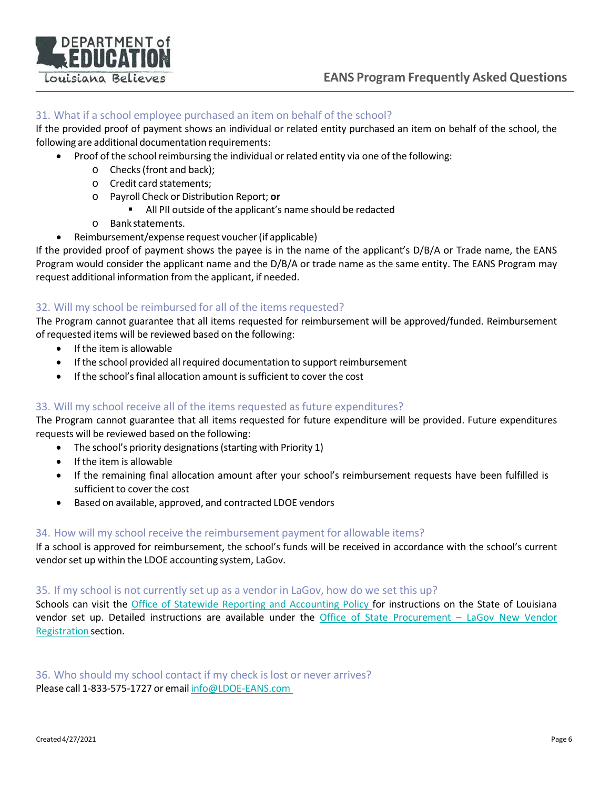

# 31. What if a school employee purchased an item on behalf of the school?

If the provided proof of payment shows an individual or related entity purchased an item on behalf of the school, the following are additional documentation requirements:

- Proof of the school reimbursing the individual or related entity via one of the following:
	- o Checks (front and back);
	- o Credit card statements;
	- o Payroll Check or Distribution Report; **or**
		- All PII outside of the applicant's name should be redacted
	- o Bank statements.
- Reimbursement/expense request voucher (if applicable)

If the provided proof of payment shows the payee is in the name of the applicant's D/B/A or Trade name, the EANS Program would consider the applicant name and the D/B/A or trade name as the same entity. The EANS Program may request additional information from the applicant, if needed.

# 32. Will my school be reimbursed for all of the items requested?

The Program cannot guarantee that all items requested for reimbursement will be approved/funded. Reimbursement of requested items will be reviewed based on the following:

- If the item is allowable
- If the school provided all required documentation to support reimbursement
- If the school's final allocation amount is sufficient to cover the cost

# 33. Will my school receive all of the items requested as future expenditures?

The Program cannot guarantee that all items requested for future expenditure will be provided. Future expenditures requests will be reviewed based on the following:

- The school's priority designations (starting with Priority 1)
- If the item is allowable
- If the remaining final allocation amount after your school's reimbursement requests have been fulfilled is sufficient to cover the cost
- Based on available, approved, and contracted LDOE vendors

#### 34. How will my school receive the reimbursement payment for allowable items?

If a school is approved for reimbursement, the school's funds will be received in accordance with the school's current vendor set up within the LDOE accounting system, LaGov.

#### 35. If my school is not currently set up as a vendor in LaGov, how do we set this up?

Schools can visit the Office of Statewide Reporting and Accounting Policy for instructions on the State of Louisiana vendor set up. Detailed instructions are available under the Office of State Procurement – LaGov New Vendor Registration section.

36. Who should my school contact if my check is lost or never arrives? Please call 1‐833‐575‐1727 or email info@LDOE‐EANS.com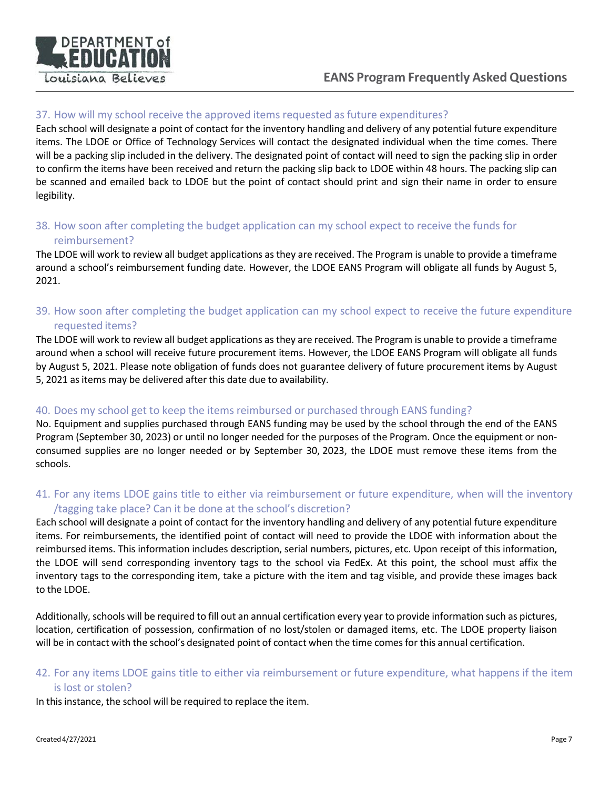

# 37. How will my school receive the approved items requested as future expenditures?

Each school will designate a point of contact for the inventory handling and delivery of any potential future expenditure items. The LDOE or Office of Technology Services will contact the designated individual when the time comes. There will be a packing slip included in the delivery. The designated point of contact will need to sign the packing slip in order to confirm the items have been received and return the packing slip back to LDOE within 48 hours. The packing slip can be scanned and emailed back to LDOE but the point of contact should print and sign their name in order to ensure legibility.

# 38. How soon after completing the budget application can my school expect to receive the funds for reimbursement?

The LDOE will work to review all budget applications as they are received. The Program is unable to provide a timeframe around a school's reimbursement funding date. However, the LDOE EANS Program will obligate all funds by August 5, 2021.

# 39. How soon after completing the budget application can my school expect to receive the future expenditure requested items?

The LDOE will work to review all budget applications as they are received. The Program is unable to provide a timeframe around when a school will receive future procurement items. However, the LDOE EANS Program will obligate all funds by August 5, 2021. Please note obligation of funds does not guarantee delivery of future procurement items by August 5, 2021 as items may be delivered after this date due to availability.

# 40. Does my school get to keep the items reimbursed or purchased through EANS funding?

No. Equipment and supplies purchased through EANS funding may be used by the school through the end of the EANS Program (September 30, 2023) or until no longer needed for the purposes of the Program. Once the equipment or non‐ consumed supplies are no longer needed or by September 30, 2023, the LDOE must remove these items from the schools.

# 41. For any items LDOE gains title to either via reimbursement or future expenditure, when will the inventory /tagging take place? Can it be done at the school's discretion?

Each school will designate a point of contact for the inventory handling and delivery of any potential future expenditure items. For reimbursements, the identified point of contact will need to provide the LDOE with information about the reimbursed items. This information includes description, serial numbers, pictures, etc. Upon receipt of this information, the LDOE will send corresponding inventory tags to the school via FedEx. At this point, the school must affix the inventory tags to the corresponding item, take a picture with the item and tag visible, and provide these images back to the LDOE.

Additionally, schools will be required to fill out an annual certification every year to provide information such as pictures, location, certification of possession, confirmation of no lost/stolen or damaged items, etc. The LDOE property liaison will be in contact with the school's designated point of contact when the time comes for this annual certification.

# 42. For any items LDOE gains title to either via reimbursement or future expenditure, what happens if the item is lost or stolen?

In this instance, the school will be required to replace the item.